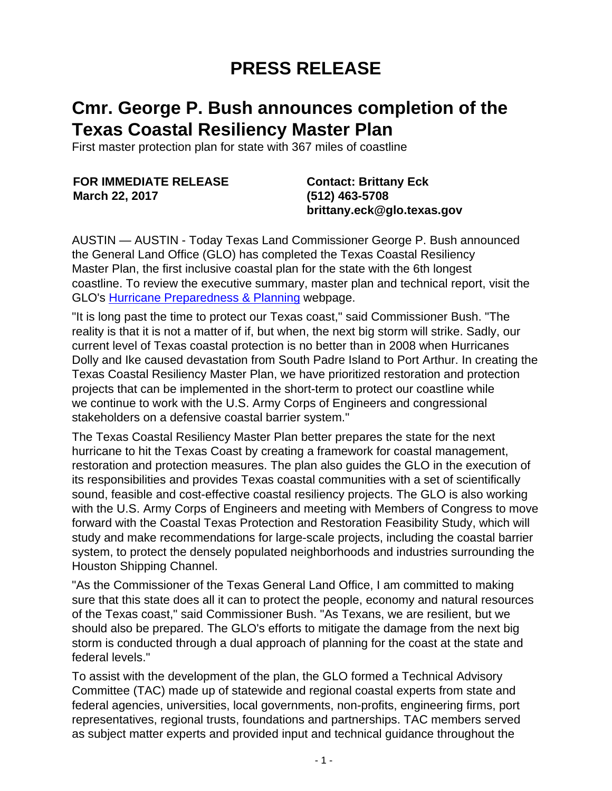## **PRESS RELEASE**

## **Cmr. George P. Bush announces completion of the Texas Coastal Resiliency Master Plan**

First master protection plan for state with 367 miles of coastline

**FOR IMMEDIATE RELEASE March 22, 2017**

**Contact: Brittany Eck (512) 463-5708 brittany.eck@glo.texas.gov**

AUSTIN — AUSTIN - Today Texas Land Commissioner George P. Bush announced the General Land Office (GLO) has completed the Texas Coastal Resiliency Master Plan, the first inclusive coastal plan for the state with the 6th longest coastline. To review the executive summary, master plan and technical report, visit the GLO's [Hurricane Preparedness & Planning](http://www.glo.texas.gov/coast/coastal-management/hurricane-preparedness/index.html) webpage.

"It is long past the time to protect our Texas coast," said Commissioner Bush. "The reality is that it is not a matter of if, but when, the next big storm will strike. Sadly, our current level of Texas coastal protection is no better than in 2008 when Hurricanes Dolly and Ike caused devastation from South Padre Island to Port Arthur. In creating the Texas Coastal Resiliency Master Plan, we have prioritized restoration and protection projects that can be implemented in the short-term to protect our coastline while we continue to work with the U.S. Army Corps of Engineers and congressional stakeholders on a defensive coastal barrier system."

The Texas Coastal Resiliency Master Plan better prepares the state for the next hurricane to hit the Texas Coast by creating a framework for coastal management, restoration and protection measures. The plan also guides the GLO in the execution of its responsibilities and provides Texas coastal communities with a set of scientifically sound, feasible and cost-effective coastal resiliency projects. The GLO is also working with the U.S. Army Corps of Engineers and meeting with Members of Congress to move forward with the Coastal Texas Protection and Restoration Feasibility Study, which will study and make recommendations for large-scale projects, including the coastal barrier system, to protect the densely populated neighborhoods and industries surrounding the Houston Shipping Channel.

"As the Commissioner of the Texas General Land Office, I am committed to making sure that this state does all it can to protect the people, economy and natural resources of the Texas coast," said Commissioner Bush. "As Texans, we are resilient, but we should also be prepared. The GLO's efforts to mitigate the damage from the next big storm is conducted through a dual approach of planning for the coast at the state and federal levels."

To assist with the development of the plan, the GLO formed a Technical Advisory Committee (TAC) made up of statewide and regional coastal experts from state and federal agencies, universities, local governments, non-profits, engineering firms, port representatives, regional trusts, foundations and partnerships. TAC members served as subject matter experts and provided input and technical guidance throughout the